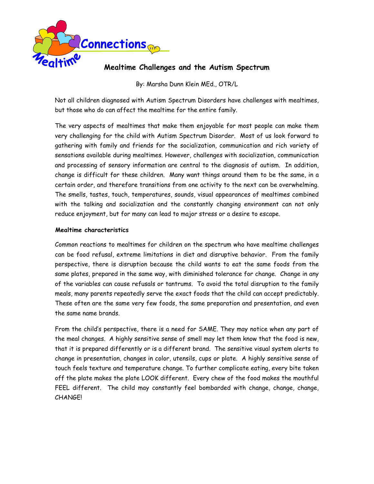

# **Mealtime Challenges and the Autism Spectrum**

By: Marsha Dunn Klein MEd., OTR/L

Not all children diagnosed with Autism Spectrum Disorders have challenges with mealtimes, but those who do can affect the mealtime for the entire family.

The very aspects of mealtimes that make them enjoyable for most people can make them very challenging for the child with Autism Spectrum Disorder. Most of us look forward to gathering with family and friends for the socialization, communication and rich variety of sensations available during mealtimes. However, challenges with socialization, communication and processing of sensory information are central to the diagnosis of autism. In addition, change is difficult for these children. Many want things around them to be the same, in a certain order, and therefore transitions from one activity to the next can be overwhelming. The smells, tastes, touch, temperatures, sounds, visual appearances of mealtimes combined with the talking and socialization and the constantly changing environment can not only reduce enjoyment, but for many can lead to major stress or a desire to escape.

# **Mealtime characteristics**

Common reactions to mealtimes for children on the spectrum who have mealtime challenges can be food refusal, extreme limitations in diet and disruptive behavior. From the family perspective, there is disruption because the child wants to eat the same foods from the same plates, prepared in the same way, with diminished tolerance for change. Change in any of the variables can cause refusals or tantrums. To avoid the total disruption to the family meals, many parents repeatedly serve the exact foods that the child can accept predictably. These often are the same very few foods, the same preparation and presentation, and even the same name brands.

From the child's perspective, there is a need for SAME. They may notice when any part of the meal changes. A highly sensitive sense of smell may let them know that the food is new, that it is prepared differently or is a different brand. The sensitive visual system alerts to change in presentation, changes in color, utensils, cups or plate. A highly sensitive sense of touch feels texture and temperature change. To further complicate eating, every bite taken off the plate makes the plate LOOK different. Every chew of the food makes the mouthful FEEL different. The child may constantly feel bombarded with change, change, change, CHANGE!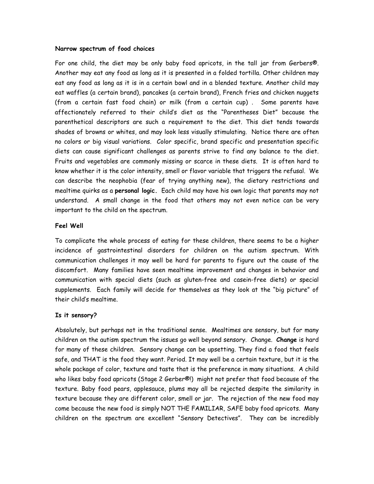### **Narrow spectrum of food choices**

For one child, the diet may be only baby food apricots, in the tall jar from Gerbers®. Another may eat any food as long as it is presented in a folded tortilla. Other children may eat any food as long as it is in a certain bowl and in a blended texture. Another child may eat waffles (a certain brand), pancakes (a certain brand), French fries and chicken nuggets (from a certain fast food chain) or milk (from a certain cup) . Some parents have affectionately referred to their child's diet as the "Parentheses Diet" because the parenthetical descriptors are such a requirement to the diet. This diet tends towards shades of browns or whites, and may look less visually stimulating. Notice there are often no colors or big visual variations. Color specific, brand specific and presentation specific diets can cause significant challenges as parents strive to find any balance to the diet. Fruits and vegetables are commonly missing or scarce in these diets. It is often hard to know whether it is the color intensity, smell or flavor variable that triggers the refusal. We can describe the neophobia (fear of trying anything new), the dietary restrictions and mealtime quirks as a **personal logic.** Each child may have his own logic that parents may not understand. A small change in the food that others may not even notice can be very important to the child on the spectrum.

### **Feel Well**

To complicate the whole process of eating for these children, there seems to be a higher incidence of gastrointestinal disorders for children on the autism spectrum. With communication challenges it may well be hard for parents to figure out the cause of the discomfort. Many families have seen mealtime improvement and changes in behavior and communication with special diets (such as gluten-free and casein-free diets) or special supplements. Each family will decide for themselves as they look at the "big picture" of their child's mealtime.

### **Is it sensory?**

Absolutely, but perhaps not in the traditional sense. Mealtimes are sensory, but for many children on the autism spectrum the issues go well beyond sensory. Change. **Change** is hard for many of these children. Sensory change can be upsetting. They find a food that feels safe, and THAT is the food they want. Period. It may well be a certain texture, but it is the whole package of color, texture and taste that is the preference in many situations. A child who likes baby food apricots (Stage 2 Gerber®!) might not prefer that food because of the texture. Baby food pears, applesauce, plums may all be rejected despite the similarity in texture because they are different color, smell or jar. The rejection of the new food may come because the new food is simply NOT THE FAMILIAR, SAFE baby food apricots. Many children on the spectrum are excellent "Sensory Detectives". They can be incredibly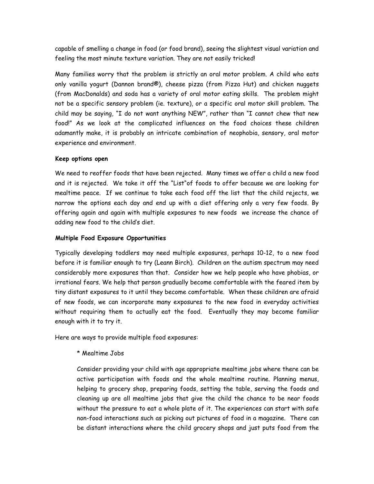capable of smelling a change in food (or food brand), seeing the slightest visual variation and feeling the most minute texture variation. They are not easily tricked!

Many families worry that the problem is strictly an oral motor problem. A child who eats only vanilla yogurt (Dannon brand®), cheese pizza (from Pizza Hut) and chicken nuggets (from MacDonalds) and soda has a variety of oral motor eating skills. The problem might not be a specific sensory problem (ie. texture), or a specific oral motor skill problem. The child may be saying, "I do not want anything NEW", rather than "I cannot chew that new food!" As we look at the complicated influences on the food choices these children adamantly make, it is probably an intricate combination of neophobia, sensory, oral motor experience and environment.

# **Keep options open**

We need to reoffer foods that have been rejected. Many times we offer a child a new food and it is rejected. We take it off the "List"of foods to offer because we are looking for mealtime peace. If we continue to take each food off the list that the child rejects, we narrow the options each day and end up with a diet offering only a very few foods. By offering again and again with multiple exposures to new foods we increase the chance of adding new food to the child's diet.

# **Multiple Food Exposure Opportunities**

Typically developing toddlers may need multiple exposures, perhaps 10-12, to a new food before it is familiar enough to try (Leann Birch). Children on the autism spectrum may need considerably more exposures than that. Consider how we help people who have phobias, or irrational fears. We help that person gradually become comfortable with the feared item by tiny distant exposures to it until they become comfortable. When these children are afraid of new foods, we can incorporate many exposures to the new food in everyday activities without requiring them to actually eat the food. Eventually they may become familiar enough with it to try it.

Here are ways to provide multiple food exposures:

\* Mealtime Jobs

Consider providing your child with age appropriate mealtime jobs where there can be active participation with foods and the whole mealtime routine. Planning menus, helping to grocery shop, preparing foods, setting the table, serving the foods and cleaning up are all mealtime jobs that give the child the chance to be near foods without the pressure to eat a whole plate of it. The experiences can start with safe non-food interactions such as picking out pictures of food in a magazine. There can be distant interactions where the child grocery shops and just puts food from the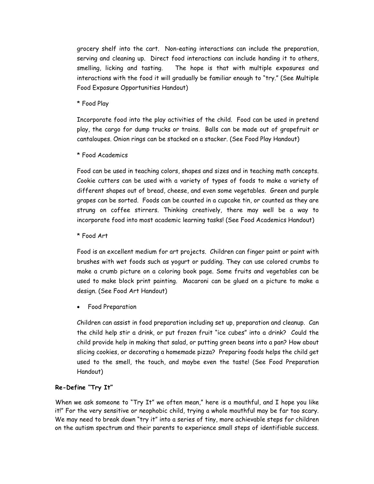grocery shelf into the cart. Non-eating interactions can include the preparation, serving and cleaning up. Direct food interactions can include handing it to others, smelling, licking and tasting. The hope is that with multiple exposures and interactions with the food it will gradually be familiar enough to "try." (See Multiple Food Exposure Opportunities Handout)

\* Food Play

Incorporate food into the play activities of the child. Food can be used in pretend play, the cargo for dump trucks or trains. Balls can be made out of grapefruit or cantaloupes. Onion rings can be stacked on a stacker. (See Food Play Handout)

\* Food Academics

Food can be used in teaching colors, shapes and sizes and in teaching math concepts. Cookie cutters can be used with a variety of types of foods to make a variety of different shapes out of bread, cheese, and even some vegetables. Green and purple grapes can be sorted. Foods can be counted in a cupcake tin, or counted as they are strung on coffee stirrers. Thinking creatively, there may well be a way to incorporate food into most academic learning tasks! (See Food Academics Handout)

\* Food Art

Food is an excellent medium for art projects. Children can finger paint or paint with brushes with wet foods such as yogurt or pudding. They can use colored crumbs to make a crumb picture on a coloring book page. Some fruits and vegetables can be used to make block print painting. Macaroni can be glued on a picture to make a design. (See Food Art Handout)

• Food Preparation

Children can assist in food preparation including set up, preparation and cleanup. Can the child help stir a drink, or put frozen fruit "ice cubes" into a drink? Could the child provide help in making that salad, or putting green beans into a pan? How about slicing cookies, or decorating a homemade pizza? Preparing foods helps the child get used to the smell, the touch, and maybe even the taste! (See Food Preparation Handout)

### **Re-Define "Try It"**

When we ask someone to "Try It" we often mean," here is a mouthful, and I hope you like it!" For the very sensitive or neophobic child, trying a whole mouthful may be far too scary. We may need to break down "try it" into a series of tiny, more achievable steps for children on the autism spectrum and their parents to experience small steps of identifiable success.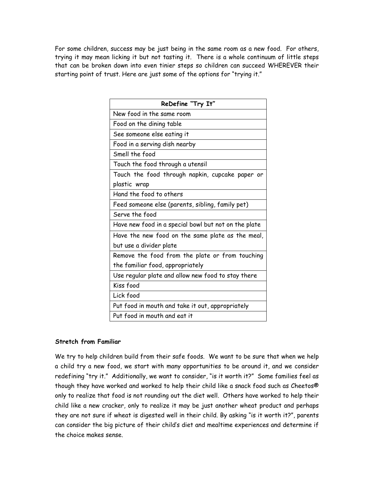For some children, success may be just being in the same room as a new food. For others, trying it may mean licking it but not tasting it. There is a whole continuum of little steps that can be broken down into even tinier steps so children can succeed WHEREVER their starting point of trust. Here are just some of the options for "trying it."

| ReDefine "Try It"                                    |
|------------------------------------------------------|
| New food in the same room                            |
| Food on the dining table                             |
| See someone else eating it                           |
| Food in a serving dish nearby                        |
| Smell the food                                       |
| Touch the food through a utensil                     |
| Touch the food through napkin, cupcake paper or      |
| plastic wrap                                         |
| Hand the food to others                              |
| Feed someone else (parents, sibling, family pet)     |
| Serve the food                                       |
| Have new food in a special bowl but not on the plate |
| Have the new food on the same plate as the meal,     |
| but use a divider plate                              |
| Remove the food from the plate or from touching      |
| the familiar food, appropriately                     |
| Use regular plate and allow new food to stay there   |
| Kiss food                                            |
| Lick food                                            |
| Put food in mouth and take it out, appropriately     |
| Put food in mouth and eat it                         |

### **Stretch from Familiar**

We try to help children build from their safe foods. We want to be sure that when we help a child try a new food, we start with many opportunities to be around it, and we consider redefining "try it." Additionally, we want to consider, "is it worth it?" Some families feel as though they have worked and worked to help their child like a snack food such as Cheetos® only to realize that food is not rounding out the diet well. Others have worked to help their child like a new cracker, only to realize it may be just another wheat product and perhaps they are not sure if wheat is digested well in their child. By asking "is it worth it?", parents can consider the big picture of their child's diet and mealtime experiences and determine if the choice makes sense.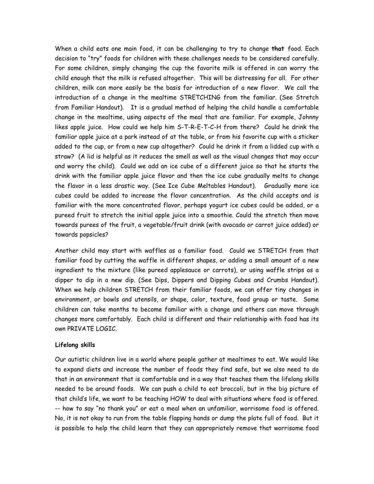When a child eats one main food, it can be challenging to try to change **that** food. Each decision to "try" foods for children with these challenges needs to be considered carefully. For some children, simply changing the cup the favorite milk is offered in can worry the child enough that the milk is refused altogether. This will be distressing for all. For other children, milk can more easily be the basis for introduction of a new flavor. We call the introduction of a change in the mealtime STRETCHING from the familiar. (See Stretch from Familiar Handout). It is a gradual method of helping the child handle a comfortable change in the mealtime, using aspects of the meal that are familiar. For example, Johnny likes apple juice. How could we help him S-T-R-E-T-C-H from there? Could he drink the familiar apple juice at a park instead of at the table, or from his favorite cup with a sticker added to the cup, or from a new cup altogether? Could he drink it from a lidded cup with a straw? (A lid is helpful as it reduces the smell as well as the visual changes that may occur and worry the child). Could we add an ice cube of a different juice so that he starts the drink with the familiar apple juice flavor and then the ice cube gradually melts to change the flavor in a less drastic way. (See Ice Cube Meltables Handout). Gradually more ice cubes could be added to increase the flavor concentration. As the child accepts and is familiar with the more concentrated flavor, perhaps yogurt ice cubes could be added, or a pureed fruit to stretch the initial apple juice into a smoothie. Could the stretch then move towards purees of the fruit, a vegetable/fruit drink (with avocado or carrot juice added) or towards popsicles?

Another child may start with waffles as a familiar food. Could we STRETCH from that familiar food by cutting the waffle in different shapes, or adding a small amount of a new ingredient to the mixture (like pureed applesauce or carrots), or using waffle strips as a dipper to dip in a new dip. (See Dips, Dippers and Dipping Cubes and Crumbs Handout). When we help children STRETCH from their familiar foods, we can offer tiny changes in environment, or bowls and utensils, or shape, color, texture, food group or taste. Some children can take months to become familiar with a change and others can move through changes more comfortably. Each child is different and their relationship with food has its own PRIVATE LOGIC.

### **Lifelong skills**

Our autistic children live in a world where people gather at mealtimes to eat. We would like to expand diets and increase the number of foods they find safe, but we also need to do that in an environment that is comfortable and in a way that teaches them the lifelong skills needed to be around foods. We can push a child to eat broccoli, but in the big picture of that child's life, we want to be teaching HOW to deal with situations where food is offered. -- how to say "no thank you" or eat a meal when an unfamiliar, worrisome food is offered. No, it is not okay to run from the table flapping hands or dump the plate full of food. But it is possible to help the child learn that they can appropriately remove that worrisome food